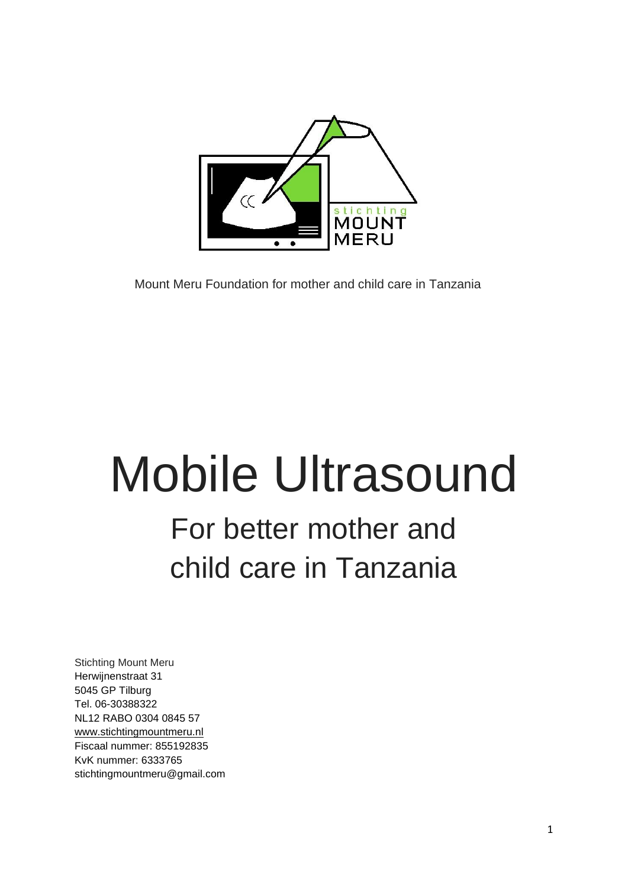

Mount Meru Foundation for mother and child care in Tanzania

# Mobile Ultrasound

# For better mother and child care in Tanzania

Stichting Mount Meru Herwijnenstraat 31 5045 GP Tilburg Tel. 06-30388322 NL12 RABO 0304 0845 57 [www.stichtingmountmeru.nl](http://www.stichtingmountmeru.nl/) Fiscaal nummer: 855192835 KvK nummer: 6333765 stichtingmountmeru@gmail.com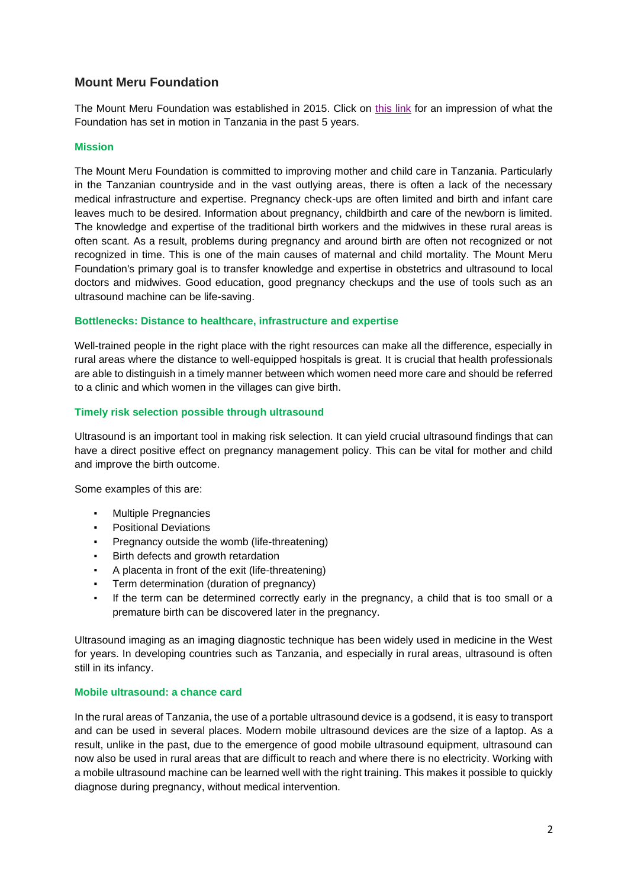# **Mount Meru Foundation**

The Mount Meru Foundation was established in 2015. Click on [this link](https://youtu.be/BfeH2480Sok) for an impression of what the Foundation has set in motion in Tanzania in the past 5 years.

## **Mission**

The Mount Meru Foundation is committed to improving mother and child care in Tanzania. Particularly in the Tanzanian countryside and in the vast outlying areas, there is often a lack of the necessary medical infrastructure and expertise. Pregnancy check-ups are often limited and birth and infant care leaves much to be desired. Information about pregnancy, childbirth and care of the newborn is limited. The knowledge and expertise of the traditional birth workers and the midwives in these rural areas is often scant. As a result, problems during pregnancy and around birth are often not recognized or not recognized in time. This is one of the main causes of maternal and child mortality. The Mount Meru Foundation's primary goal is to transfer knowledge and expertise in obstetrics and ultrasound to local doctors and midwives. Good education, good pregnancy checkups and the use of tools such as an ultrasound machine can be life-saving.

#### **Bottlenecks: Distance to healthcare, infrastructure and expertise**

Well-trained people in the right place with the right resources can make all the difference, especially in rural areas where the distance to well-equipped hospitals is great. It is crucial that health professionals are able to distinguish in a timely manner between which women need more care and should be referred to a clinic and which women in the villages can give birth.

#### **Timely risk selection possible through ultrasound**

Ultrasound is an important tool in making risk selection. It can yield crucial ultrasound findings that can have a direct positive effect on pregnancy management policy. This can be vital for mother and child and improve the birth outcome.

Some examples of this are:

- Multiple Pregnancies
- Positional Deviations
- Pregnancy outside the womb (life-threatening)
- Birth defects and growth retardation
- A placenta in front of the exit (life-threatening)
- Term determination (duration of pregnancy)
- If the term can be determined correctly early in the pregnancy, a child that is too small or a premature birth can be discovered later in the pregnancy.

Ultrasound imaging as an imaging diagnostic technique has been widely used in medicine in the West for years. In developing countries such as Tanzania, and especially in rural areas, ultrasound is often still in its infancy.

## **Mobile ultrasound: a chance card**

In the rural areas of Tanzania, the use of a portable ultrasound device is a godsend, it is easy to transport and can be used in several places. Modern mobile ultrasound devices are the size of a laptop. As a result, unlike in the past, due to the emergence of good mobile ultrasound equipment, ultrasound can now also be used in rural areas that are difficult to reach and where there is no electricity. Working with a mobile ultrasound machine can be learned well with the right training. This makes it possible to quickly diagnose during pregnancy, without medical intervention.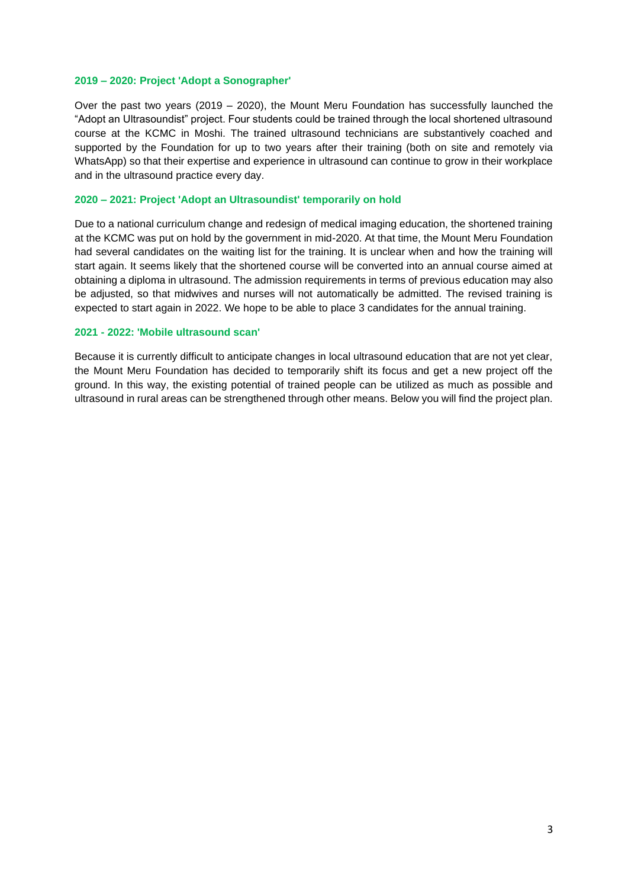#### **2019 – 2020: Project 'Adopt a Sonographer'**

Over the past two years (2019 – 2020), the Mount Meru Foundation has successfully launched the "Adopt an Ultrasoundist" project. Four students could be trained through the local shortened ultrasound course at the KCMC in Moshi. The trained ultrasound technicians are substantively coached and supported by the Foundation for up to two years after their training (both on site and remotely via WhatsApp) so that their expertise and experience in ultrasound can continue to grow in their workplace and in the ultrasound practice every day.

#### **2020 – 2021: Project 'Adopt an Ultrasoundist' temporarily on hold**

Due to a national curriculum change and redesign of medical imaging education, the shortened training at the KCMC was put on hold by the government in mid-2020. At that time, the Mount Meru Foundation had several candidates on the waiting list for the training. It is unclear when and how the training will start again. It seems likely that the shortened course will be converted into an annual course aimed at obtaining a diploma in ultrasound. The admission requirements in terms of previous education may also be adjusted, so that midwives and nurses will not automatically be admitted. The revised training is expected to start again in 2022. We hope to be able to place 3 candidates for the annual training.

#### **2021 - 2022: 'Mobile ultrasound scan'**

Because it is currently difficult to anticipate changes in local ultrasound education that are not yet clear, the Mount Meru Foundation has decided to temporarily shift its focus and get a new project off the ground. In this way, the existing potential of trained people can be utilized as much as possible and ultrasound in rural areas can be strengthened through other means. Below you will find the project plan.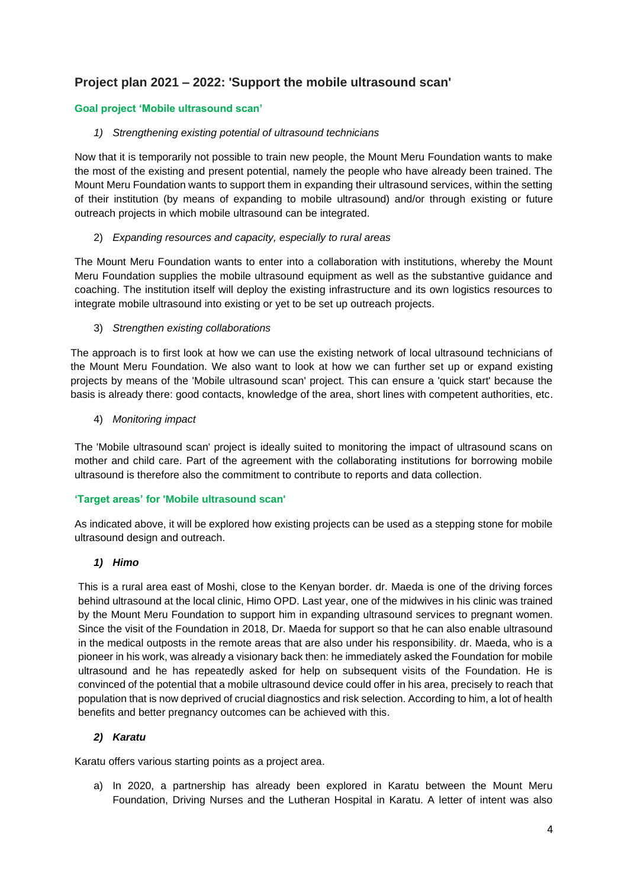# **Project plan 2021 – 2022: 'Support the mobile ultrasound scan'**

# **Goal project 'Mobile ultrasound scan'**

# *1) Strengthening existing potential of ultrasound technicians*

Now that it is temporarily not possible to train new people, the Mount Meru Foundation wants to make the most of the existing and present potential, namely the people who have already been trained. The Mount Meru Foundation wants to support them in expanding their ultrasound services, within the setting of their institution (by means of expanding to mobile ultrasound) and/or through existing or future outreach projects in which mobile ultrasound can be integrated.

# 2) *Expanding resources and capacity, especially to rural areas*

The Mount Meru Foundation wants to enter into a collaboration with institutions, whereby the Mount Meru Foundation supplies the mobile ultrasound equipment as well as the substantive guidance and coaching. The institution itself will deploy the existing infrastructure and its own logistics resources to integrate mobile ultrasound into existing or yet to be set up outreach projects.

# 3) *Strengthen existing collaborations*

The approach is to first look at how we can use the existing network of local ultrasound technicians of the Mount Meru Foundation. We also want to look at how we can further set up or expand existing projects by means of the 'Mobile ultrasound scan' project. This can ensure a 'quick start' because the basis is already there: good contacts, knowledge of the area, short lines with competent authorities, etc.

4) *Monitoring impact*

The 'Mobile ultrasound scan' project is ideally suited to monitoring the impact of ultrasound scans on mother and child care. Part of the agreement with the collaborating institutions for borrowing mobile ultrasound is therefore also the commitment to contribute to reports and data collection.

# **'Target areas' for 'Mobile ultrasound scan'**

As indicated above, it will be explored how existing projects can be used as a stepping stone for mobile ultrasound design and outreach.

# *1) Himo*

This is a rural area east of Moshi, close to the Kenyan border. dr. Maeda is one of the driving forces behind ultrasound at the local clinic, Himo OPD. Last year, one of the midwives in his clinic was trained by the Mount Meru Foundation to support him in expanding ultrasound services to pregnant women. Since the visit of the Foundation in 2018, Dr. Maeda for support so that he can also enable ultrasound in the medical outposts in the remote areas that are also under his responsibility. dr. Maeda, who is a pioneer in his work, was already a visionary back then: he immediately asked the Foundation for mobile ultrasound and he has repeatedly asked for help on subsequent visits of the Foundation. He is convinced of the potential that a mobile ultrasound device could offer in his area, precisely to reach that population that is now deprived of crucial diagnostics and risk selection. According to him, a lot of health benefits and better pregnancy outcomes can be achieved with this.

# *2) Karatu*

Karatu offers various starting points as a project area.

a) In 2020, a partnership has already been explored in Karatu between the Mount Meru Foundation, Driving Nurses and the Lutheran Hospital in Karatu. A letter of intent was also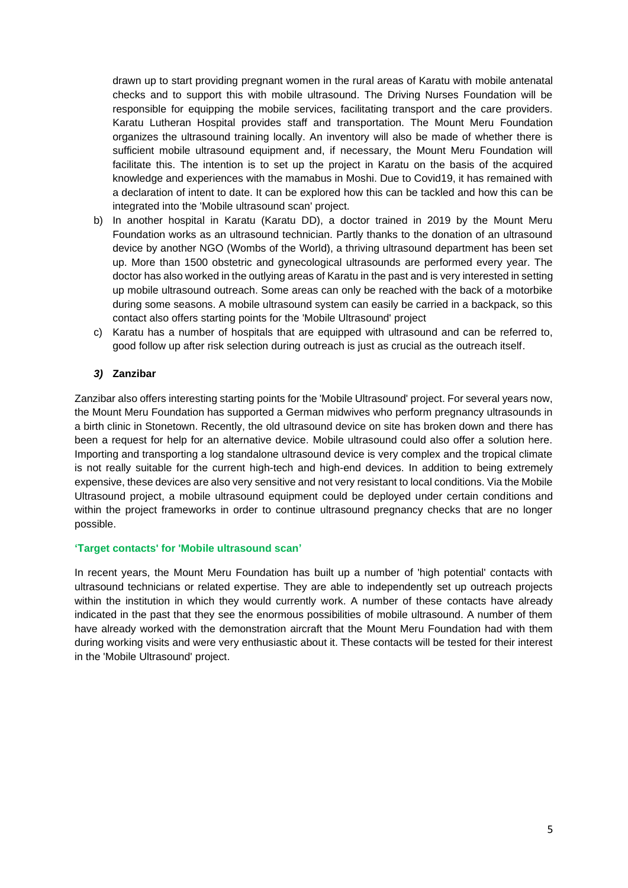drawn up to start providing pregnant women in the rural areas of Karatu with mobile antenatal checks and to support this with mobile ultrasound. The Driving Nurses Foundation will be responsible for equipping the mobile services, facilitating transport and the care providers. Karatu Lutheran Hospital provides staff and transportation. The Mount Meru Foundation organizes the ultrasound training locally. An inventory will also be made of whether there is sufficient mobile ultrasound equipment and, if necessary, the Mount Meru Foundation will facilitate this. The intention is to set up the project in Karatu on the basis of the acquired knowledge and experiences with the mamabus in Moshi. Due to Covid19, it has remained with a declaration of intent to date. It can be explored how this can be tackled and how this can be integrated into the 'Mobile ultrasound scan' project.

- b) In another hospital in Karatu (Karatu DD), a doctor trained in 2019 by the Mount Meru Foundation works as an ultrasound technician. Partly thanks to the donation of an ultrasound device by another NGO (Wombs of the World), a thriving ultrasound department has been set up. More than 1500 obstetric and gynecological ultrasounds are performed every year. The doctor has also worked in the outlying areas of Karatu in the past and is very interested in setting up mobile ultrasound outreach. Some areas can only be reached with the back of a motorbike during some seasons. A mobile ultrasound system can easily be carried in a backpack, so this contact also offers starting points for the 'Mobile Ultrasound' project
- c) Karatu has a number of hospitals that are equipped with ultrasound and can be referred to, good follow up after risk selection during outreach is just as crucial as the outreach itself.

## *3)* **Zanzibar**

Zanzibar also offers interesting starting points for the 'Mobile Ultrasound' project. For several years now, the Mount Meru Foundation has supported a German midwives who perform pregnancy ultrasounds in a birth clinic in Stonetown. Recently, the old ultrasound device on site has broken down and there has been a request for help for an alternative device. Mobile ultrasound could also offer a solution here. Importing and transporting a log standalone ultrasound device is very complex and the tropical climate is not really suitable for the current high-tech and high-end devices. In addition to being extremely expensive, these devices are also very sensitive and not very resistant to local conditions. Via the Mobile Ultrasound project, a mobile ultrasound equipment could be deployed under certain conditions and within the project frameworks in order to continue ultrasound pregnancy checks that are no longer possible.

## **'Target contacts' for 'Mobile ultrasound scan'**

In recent years, the Mount Meru Foundation has built up a number of 'high potential' contacts with ultrasound technicians or related expertise. They are able to independently set up outreach projects within the institution in which they would currently work. A number of these contacts have already indicated in the past that they see the enormous possibilities of mobile ultrasound. A number of them have already worked with the demonstration aircraft that the Mount Meru Foundation had with them during working visits and were very enthusiastic about it. These contacts will be tested for their interest in the 'Mobile Ultrasound' project.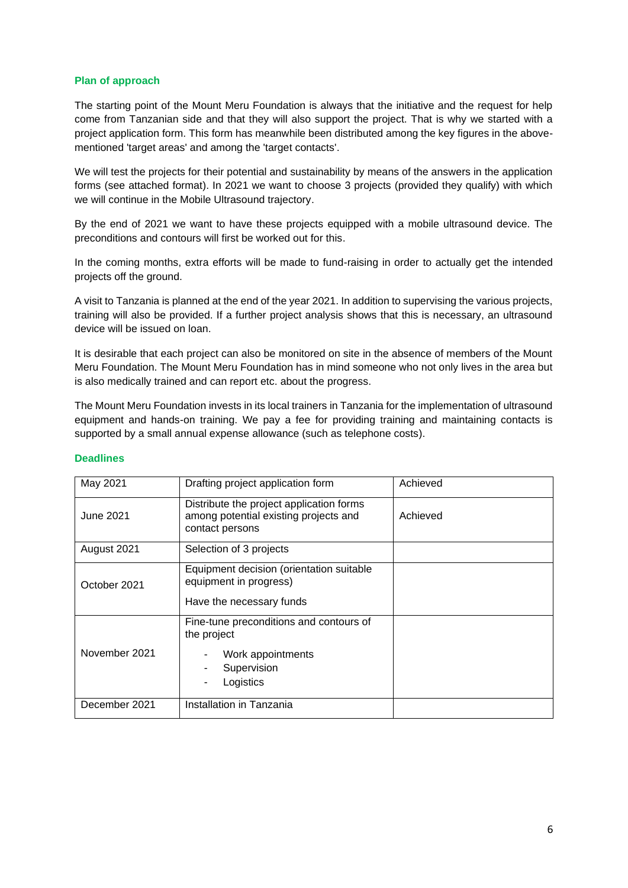#### **Plan of approach**

The starting point of the Mount Meru Foundation is always that the initiative and the request for help come from Tanzanian side and that they will also support the project. That is why we started with a project application form. This form has meanwhile been distributed among the key figures in the abovementioned 'target areas' and among the 'target contacts'.

We will test the projects for their potential and sustainability by means of the answers in the application forms (see attached format). In 2021 we want to choose 3 projects (provided they qualify) with which we will continue in the Mobile Ultrasound trajectory.

By the end of 2021 we want to have these projects equipped with a mobile ultrasound device. The preconditions and contours will first be worked out for this.

In the coming months, extra efforts will be made to fund-raising in order to actually get the intended projects off the ground.

A visit to Tanzania is planned at the end of the year 2021. In addition to supervising the various projects, training will also be provided. If a further project analysis shows that this is necessary, an ultrasound device will be issued on loan.

It is desirable that each project can also be monitored on site in the absence of members of the Mount Meru Foundation. The Mount Meru Foundation has in mind someone who not only lives in the area but is also medically trained and can report etc. about the progress.

The Mount Meru Foundation invests in its local trainers in Tanzania for the implementation of ultrasound equipment and hands-on training. We pay a fee for providing training and maintaining contacts is supported by a small annual expense allowance (such as telephone costs).

| May 2021         | Drafting project application form                                                                            | Achieved |
|------------------|--------------------------------------------------------------------------------------------------------------|----------|
| <b>June 2021</b> | Distribute the project application forms<br>among potential existing projects and<br>contact persons         | Achieved |
| August 2021      | Selection of 3 projects                                                                                      |          |
| October 2021     | Equipment decision (orientation suitable<br>equipment in progress)<br>Have the necessary funds               |          |
| November 2021    | Fine-tune preconditions and contours of<br>the project<br>Work appointments<br>Supervision<br>Logistics<br>۰ |          |
| December 2021    | Installation in Tanzania                                                                                     |          |

#### **Deadlines**